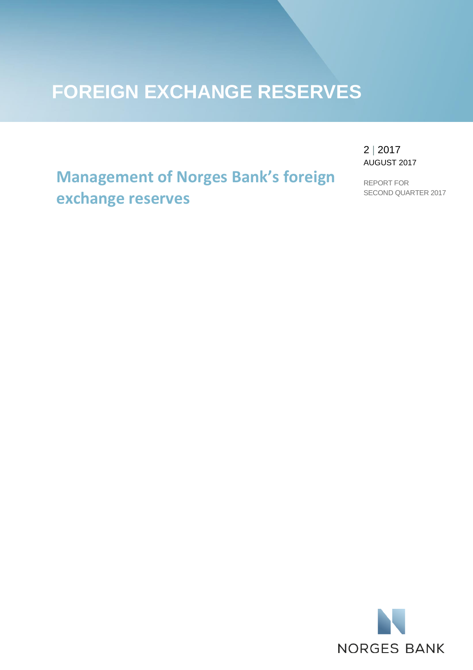# **FOREIGN EXCHANGE RESERVES**

**Management of Norges Bank's foreign exchange reserves**

2 | 2017 AUGUST 2017

REPORT FOR SECOND QUARTER 2017

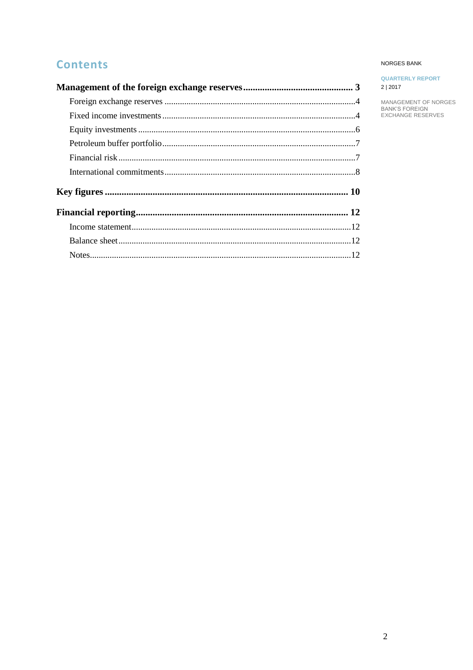## **Contents**

#### NORGES BANK

| <b>QUARTERLY REPORT</b> |  |
|-------------------------|--|
| 2   2017                |  |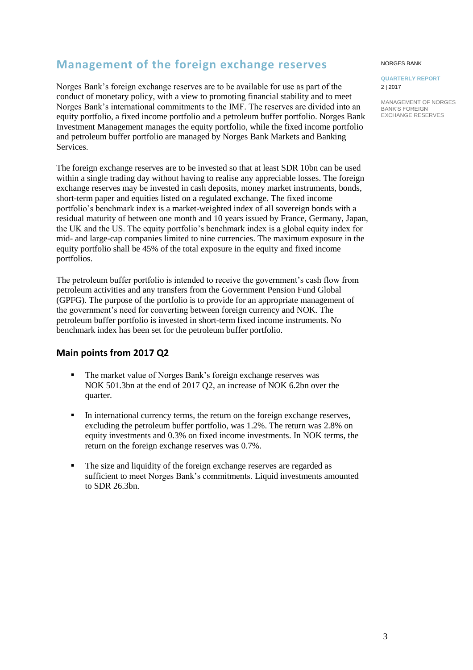## <span id="page-2-0"></span>**Management of the foreign exchange reserves**

Norges Bank's foreign exchange reserves are to be available for use as part of the conduct of monetary policy, with a view to promoting financial stability and to meet Norges Bank's international commitments to the IMF. The reserves are divided into an equity portfolio, a fixed income portfolio and a petroleum buffer portfolio. Norges Bank Investment Management manages the equity portfolio, while the fixed income portfolio and petroleum buffer portfolio are managed by Norges Bank Markets and Banking Services.

The foreign exchange reserves are to be invested so that at least SDR 10bn can be used within a single trading day without having to realise any appreciable losses. The foreign exchange reserves may be invested in cash deposits, money market instruments, bonds, short-term paper and equities listed on a regulated exchange. The fixed income portfolio's benchmark index is a market-weighted index of all sovereign bonds with a residual maturity of between one month and 10 years issued by France, Germany, Japan, the UK and the US. The equity portfolio's benchmark index is a global equity index for mid- and large-cap companies limited to nine currencies. The maximum exposure in the equity portfolio shall be 45% of the total exposure in the equity and fixed income portfolios.

The petroleum buffer portfolio is intended to receive the government's cash flow from petroleum activities and any transfers from the Government Pension Fund Global (GPFG). The purpose of the portfolio is to provide for an appropriate management of the government's need for converting between foreign currency and NOK. The petroleum buffer portfolio is invested in short-term fixed income instruments. No benchmark index has been set for the petroleum buffer portfolio.

## **Main points from 2017 Q2**

- The market value of Norges Bank's foreign exchange reserves was NOK 501.3bn at the end of 2017 Q2, an increase of NOK 6.2bn over the quarter.
- In international currency terms, the return on the foreign exchange reserves, excluding the petroleum buffer portfolio, was 1.2%. The return was 2.8% on equity investments and 0.3% on fixed income investments. In NOK terms, the return on the foreign exchange reserves was 0.7%.
- The size and liquidity of the foreign exchange reserves are regarded as sufficient to meet Norges Bank's commitments. Liquid investments amounted to SDR 26.3bn.

#### NORGES BANK

**QUARTERLY REPORT** 2 | 2017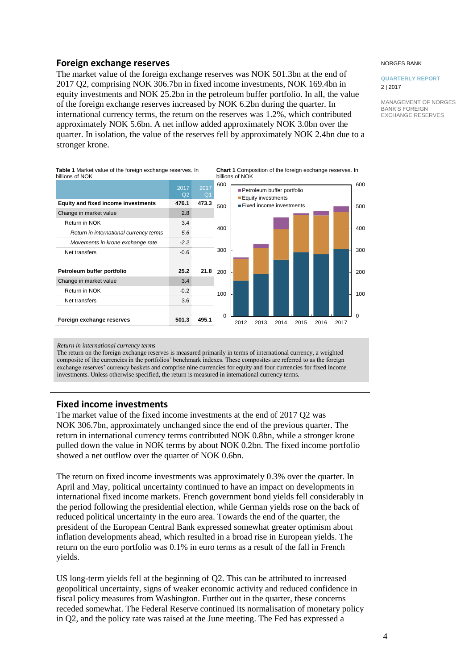## <span id="page-3-0"></span>**Foreign exchange reserves**

The market value of the foreign exchange reserves was NOK 501.3bn at the end of 2017 Q2, comprising NOK 306.7bn in fixed income investments, NOK 169.4bn in equity investments and NOK 25.2bn in the petroleum buffer portfolio. In all, the value of the foreign exchange reserves increased by NOK 6.2bn during the quarter. In international currency terms, the return on the reserves was 1.2%, which contributed approximately NOK 5.6bn. A net inflow added approximately NOK 3.0bn over the quarter. In isolation, the value of the reserves fell by approximately NOK 2.4bn due to a stronger krone.



#### NORGES BANK

#### **QUARTERLY REPORT** 2 | 2017

MANAGEMENT OF NORGES BANK'S FOREIGN EXCHANGE RESERVES

#### *Return in international currency terms*

The return on the foreign exchange reserves is measured primarily in terms of international currency, a weighted composite of the currencies in the portfolios' benchmark indexes. These composites are referred to as the foreign exchange reserves' currency baskets and comprise nine currencies for equity and four currencies for fixed income investments. Unless otherwise specified, the return is measured in international currency terms.

### <span id="page-3-1"></span>**Fixed income investments**

The market value of the fixed income investments at the end of 2017 Q2 was NOK 306.7bn, approximately unchanged since the end of the previous quarter. The return in international currency terms contributed NOK 0.8bn, while a stronger krone pulled down the value in NOK terms by about NOK 0.2bn. The fixed income portfolio showed a net outflow over the quarter of NOK 0.6bn.

The return on fixed income investments was approximately 0.3% over the quarter. In April and May, political uncertainty continued to have an impact on developments in international fixed income markets. French government bond yields fell considerably in the period following the presidential election, while German yields rose on the back of reduced political uncertainty in the euro area. Towards the end of the quarter, the president of the European Central Bank expressed somewhat greater optimism about inflation developments ahead, which resulted in a broad rise in European yields. The return on the euro portfolio was 0.1% in euro terms as a result of the fall in French yields.

US long-term yields fell at the beginning of Q2. This can be attributed to increased geopolitical uncertainty, signs of weaker economic activity and reduced confidence in fiscal policy measures from Washington. Further out in the quarter, these concerns receded somewhat. The Federal Reserve continued its normalisation of monetary policy in Q2, and the policy rate was raised at the June meeting. The Fed has expressed a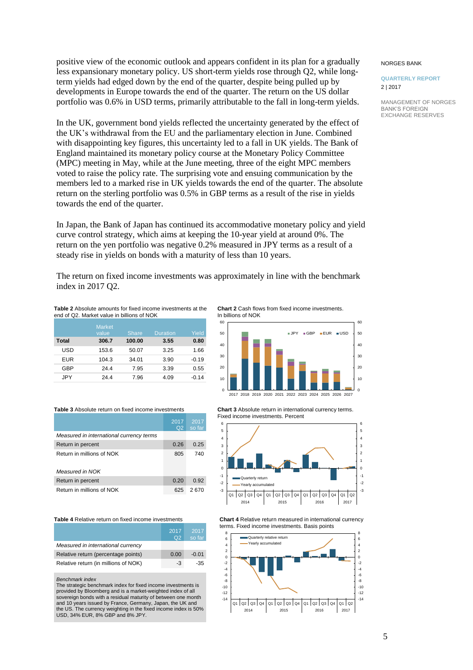positive view of the economic outlook and appears confident in its plan for a gradually less expansionary monetary policy. US short-term yields rose through Q2, while longterm yields had edged down by the end of the quarter, despite being pulled up by developments in Europe towards the end of the quarter. The return on the US dollar portfolio was 0.6% in USD terms, primarily attributable to the fall in long-term yields.

In the UK, government bond yields reflected the uncertainty generated by the effect of the UK's withdrawal from the EU and the parliamentary election in June. Combined with disappointing key figures, this uncertainty led to a fall in UK yields. The Bank of England maintained its monetary policy course at the Monetary Policy Committee (MPC) meeting in May, while at the June meeting, three of the eight MPC members voted to raise the policy rate. The surprising vote and ensuing communication by the members led to a marked rise in UK yields towards the end of the quarter. The absolute return on the sterling portfolio was 0.5% in GBP terms as a result of the rise in yields towards the end of the quarter.

In Japan, the Bank of Japan has continued its accommodative monetary policy and yield curve control strategy, which aims at keeping the 10-year yield at around 0%. The return on the yen portfolio was negative 0.2% measured in JPY terms as a result of a steady rise in yields on bonds with a maturity of less than 10 years.

The return on fixed income investments was approximately in line with the benchmark index in 2017 Q2.

**Table 2** Absolute amounts for fixed income investments at the end of Q2. Market value in billions of NOK

|            | <b>Market</b><br>value | <b>Share</b> | <b>Duration</b> | Yield   |
|------------|------------------------|--------------|-----------------|---------|
| Total      | 306.7                  | 100.00       | 3.55            | 0.80    |
| USD        | 153.6                  | 50.07        | 3.25            | 1.66    |
| <b>EUR</b> | 104.3                  | 34.01        | 3.90            | $-0.19$ |
| GBP        | 24.4                   | 7.95         | 3.39            | 0.55    |
| JPY        | 24.4                   | 7.96         | 4.09            | $-0.14$ |

**Chart 2** Cash flows from fixed income investments. In billions of NOK



**Table 3** Absolute return on fixed income investments

|                                          | 2017<br>Q <sub>2</sub> | 2017<br>so far |
|------------------------------------------|------------------------|----------------|
| Measured in international currency terms |                        |                |
| Return in percent                        | 0.26                   | 0.25           |
| Return in millions of NOK                | 805                    | 740            |
| Measured in NOK                          |                        |                |
| Return in percent                        | 0.20                   | 0.92           |
| Return in millions of NOK                | 625                    | 2.670          |

**Table 4** Relative return on fixed income investments

|                                      | 2017<br>O <sub>2</sub> | 2017<br>so far |
|--------------------------------------|------------------------|----------------|
| Measured in international currency   |                        |                |
| Relative return (percentage points)  | 0.00                   | $-0.01$        |
| Relative return (in millions of NOK) | -3                     | -35            |

*Benchmark index*

The strategic benchmark index for fixed income investments is provided by Bloomberg and is a market-weighted index of all sovereign bonds with a residual maturity of between one month and 10 years issued by France, Germany, Japan, the UK and the US. The currency weighting in the fixed income index is 50% USD, 34% EUR, 8% GBP and 8% JPY. **Chart 3** Absolute return in international currency terms. Fixed income investments. Percent



**Chart 4** Relative return measured in international currency terms. Fixed income investments. Basis points



#### NORGES BANK

#### **QUARTERLY REPORT** 2 | 2017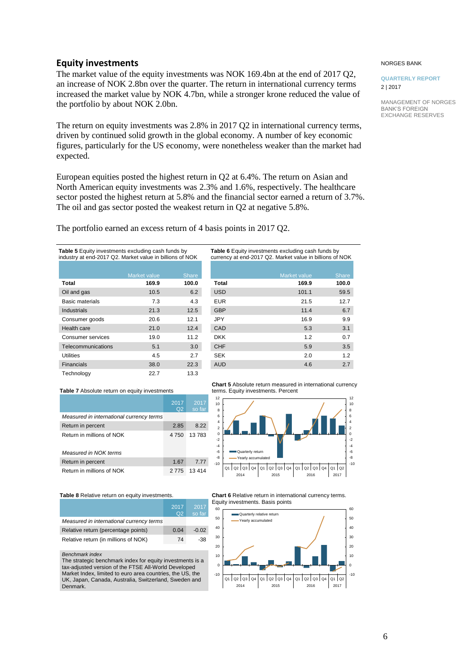## <span id="page-5-0"></span>**Equity investments**

The market value of the equity investments was NOK 169.4bn at the end of 2017 Q2, an increase of NOK 2.8bn over the quarter. The return in international currency terms increased the market value by NOK 4.7bn, while a stronger krone reduced the value of the portfolio by about NOK 2.0bn.

The return on equity investments was 2.8% in 2017 Q2 in international currency terms, driven by continued solid growth in the global economy. A number of key economic figures, particularly for the US economy, were nonetheless weaker than the market had expected.

European equities posted the highest return in Q2 at 6.4%. The return on Asian and North American equity investments was 2.3% and 1.6%, respectively. The healthcare sector posted the highest return at 5.8% and the financial sector earned a return of 3.7%. The oil and gas sector posted the weakest return in Q2 at negative 5.8%.

The portfolio earned an excess return of 4 basis points in 2017 Q2.

| <b>Table 5</b> Equity investments excluding cash funds by<br>industry at end-2017 Q2. Market value in billions of NOK |                       |                       |  |  |
|-----------------------------------------------------------------------------------------------------------------------|-----------------------|-----------------------|--|--|
|                                                                                                                       |                       |                       |  |  |
| Total                                                                                                                 | Market value<br>169.9 | <b>Share</b><br>100.0 |  |  |
| Oil and gas                                                                                                           | 10.5                  | 6.2                   |  |  |
| Basic materials                                                                                                       | 7.3                   | 4.3                   |  |  |
| <b>Industrials</b>                                                                                                    | 21.3                  | 12.5                  |  |  |
| Consumer goods                                                                                                        | 20.6                  | 12.1                  |  |  |
| Health care                                                                                                           | 21.0                  | 12.4                  |  |  |
| Consumer services                                                                                                     | 19.0                  | 11.2                  |  |  |
| Telecommunications                                                                                                    | 5.1                   | 3.0                   |  |  |
| <b>Utilities</b>                                                                                                      | 4.5                   | 2.7                   |  |  |
| <b>Financials</b>                                                                                                     | 38.0                  | 22.3                  |  |  |
| Technology                                                                                                            | 22.7                  | 13.3                  |  |  |

| currency at end-2017 Q2. Market value in billions of NOK |                     |              |  |
|----------------------------------------------------------|---------------------|--------------|--|
|                                                          |                     |              |  |
|                                                          | <b>Market value</b> | <b>Share</b> |  |
| <b>Total</b>                                             | 169.9               | 100.0        |  |
| <b>USD</b>                                               | 101.1               | 59.5         |  |
| <b>EUR</b>                                               | 21.5                | 12.7         |  |
| <b>GBP</b>                                               | 11.4                | 6.7          |  |
| <b>JPY</b>                                               | 16.9                | 9.9          |  |
| CAD                                                      | 5.3                 | 3.1          |  |
| <b>DKK</b>                                               | 1.2                 | 0.7          |  |
| <b>CHF</b>                                               | 5.9                 | 3.5          |  |
| <b>SEK</b>                                               | 2.0                 | 1.2          |  |
| <b>AUD</b>                                               | 4.6                 | 2.7          |  |

**Table 6** Equity investments excluding cash funds by

**Table 7** Absolute return on equity investments

|                                          | 2017<br>Q <sub>2</sub> | 2017<br>so far |
|------------------------------------------|------------------------|----------------|
| Measured in international currency terms |                        |                |
| Return in percent                        | 2.85                   | 8.22           |
| Return in millions of NOK                | 4 7 5 0                | 13783          |
| Measured in NOK terms                    |                        |                |
| Return in percent                        | 1.67                   | 7.77           |
| Return in millions of NOK                | 2 7 7 5                | 13 414         |

Table 8 Relative return on equity investments.

|                                          | 2017<br>O <sub>2</sub> | 2017<br>so far |
|------------------------------------------|------------------------|----------------|
| Measured in international currency terms |                        |                |
| Relative return (percentage points)      | 0.04                   | $-0.02$        |
| Relative return (in millions of NOK)     | 74                     | -38            |

*Benchmark index*

The strategic benchmark index for equity investments is a tax-adjusted version of the FTSE All-World Developed Market Index, limited to euro area countries, the US, the UK, Japan, Canada, Australia, Switzerland, Sweden and Denmark.

8 10 8 10

12

**Chart 5** Absolute return measured in international currency

terms. Equity investments. Percent

12



**Chart 6** Relative return in international currency terms. Equity investments. Basis points



#### NORGES BANK

**QUARTERLY REPORT** 2 | 2017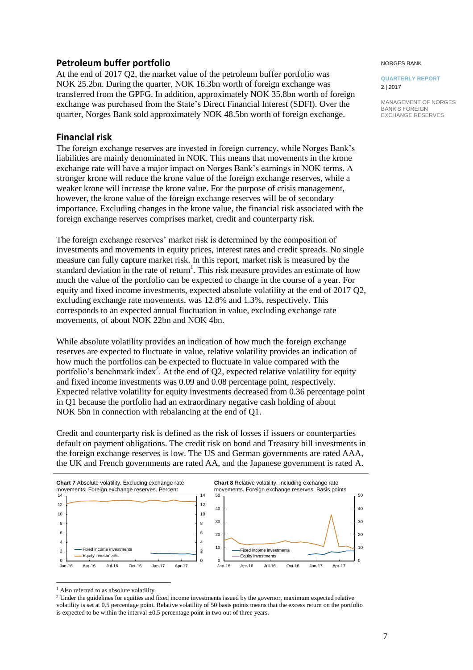## <span id="page-6-0"></span>**Petroleum buffer portfolio**

At the end of 2017 Q2, the market value of the petroleum buffer portfolio was NOK 25.2bn. During the quarter, NOK 16.3bn worth of foreign exchange was transferred from the GPFG. In addition, approximately NOK 35.8bn worth of foreign exchange was purchased from the State's Direct Financial Interest (SDFI). Over the quarter, Norges Bank sold approximately NOK 48.5bn worth of foreign exchange.

## <span id="page-6-1"></span>**Financial risk**

The foreign exchange reserves are invested in foreign currency, while Norges Bank's liabilities are mainly denominated in NOK. This means that movements in the krone exchange rate will have a major impact on Norges Bank's earnings in NOK terms. A stronger krone will reduce the krone value of the foreign exchange reserves, while a weaker krone will increase the krone value. For the purpose of crisis management, however, the krone value of the foreign exchange reserves will be of secondary importance. Excluding changes in the krone value, the financial risk associated with the foreign exchange reserves comprises market, credit and counterparty risk.

The foreign exchange reserves' market risk is determined by the composition of investments and movements in equity prices, interest rates and credit spreads. No single measure can fully capture market risk. In this report, market risk is measured by the standard deviation in the rate of return<sup>1</sup>. This risk measure provides an estimate of how much the value of the portfolio can be expected to change in the course of a year. For equity and fixed income investments, expected absolute volatility at the end of 2017 Q2, excluding exchange rate movements, was 12.8% and 1.3%, respectively. This corresponds to an expected annual fluctuation in value, excluding exchange rate movements, of about NOK 22bn and NOK 4bn.

While absolute volatility provides an indication of how much the foreign exchange reserves are expected to fluctuate in value, relative volatility provides an indication of how much the portfolios can be expected to fluctuate in value compared with the portfolio's benchmark index<sup>2</sup>. At the end of  $Q2$ , expected relative volatility for equity and fixed income investments was 0.09 and 0.08 percentage point, respectively. Expected relative volatility for equity investments decreased from 0.36 percentage point in Q1 because the portfolio had an extraordinary negative cash holding of about NOK 5bn in connection with rebalancing at the end of Q1.

Credit and counterparty risk is defined as the risk of losses if issuers or counterparties default on payment obligations. The credit risk on bond and Treasury bill investments in the foreign exchange reserves is low. The US and German governments are rated AAA, the UK and French governments are rated AA, and the Japanese government is rated A.



<sup>1</sup> Also referred to as absolute volatility.

l

<sup>2</sup> Under the guidelines for equities and fixed income investments issued by the governor, maximum expected relative volatility is set at 0.5 percentage point. Relative volatility of 50 basis points means that the excess return on the portfolio is expected to be within the interval  $\pm 0.5$  percentage point in two out of three years.

#### NORGES BANK

**QUARTERLY REPORT** 2 | 2017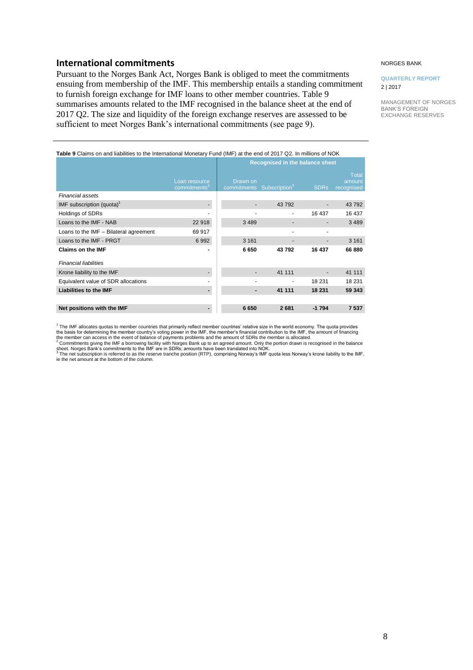## <span id="page-7-0"></span>**International commitments**

Pursuant to the Norges Bank Act, Norges Bank is obliged to meet the commitments ensuing from membership of the IMF. This membership entails a standing commitment to furnish foreign exchange for IMF loans to other member countries. Table 9 summarises amounts related to the IMF recognised in the balance sheet at the end of 2017 Q2. The size and liquidity of the foreign exchange reserves are assessed to be sufficient to meet Norges Bank's international commitments (see page 9).

#### NORGES BANK

#### **QUARTERLY REPORT** 2 | 2017

MANAGEMENT OF NORGES BANK'S FOREIGN EXCHANGE RESERVES

| Table 9 Claims on and liabilities to the International Monetary Fund (IMF) at the end of 2017 Q2. In millions of NOK |  |
|----------------------------------------------------------------------------------------------------------------------|--|
|                                                                                                                      |  |

|                                        |                                           | Recognised in the balance sheet                   |        |                          |                                      |
|----------------------------------------|-------------------------------------------|---------------------------------------------------|--------|--------------------------|--------------------------------------|
|                                        | Loan resource<br>commitments <sup>2</sup> | Drawn on<br>commitments Subscription <sup>3</sup> |        | <b>SDRs</b>              | <b>Total</b><br>amount<br>recognised |
| <b>Financial assets</b>                |                                           |                                                   |        |                          |                                      |
| IMF subscription (quota) <sup>1</sup>  |                                           |                                                   | 43 792 | $\overline{\phantom{a}}$ | 43 792                               |
| Holdings of SDRs                       |                                           |                                                   |        | 16 437                   | 16 437                               |
| Loans to the IMF - NAB                 | 22 918                                    | 3489                                              |        |                          | 3 4 8 9                              |
| Loans to the IMF - Bilateral agreement | 69 917                                    |                                                   |        | $\blacksquare$           |                                      |
| Loans to the IMF - PRGT                | 6992                                      | 3 1 6 1                                           |        |                          | 3 1 6 1                              |
| <b>Claims on the IMF</b>               |                                           | 6650                                              | 43792  | 16 437                   | 66 880                               |
| <b>Financial liabilities</b>           |                                           |                                                   |        |                          |                                      |
| Krone liability to the IMF             |                                           |                                                   | 41 111 |                          | 41 111                               |
| Equivalent value of SDR allocations    |                                           |                                                   |        | 18 2 31                  | 18 231                               |
| <b>Liabilities to the IMF</b>          |                                           |                                                   | 41 111 | 18 231                   | 59 343                               |
|                                        |                                           |                                                   |        |                          |                                      |
| Net positions with the IMF             |                                           | 6650                                              | 2681   | $-1794$                  | 7537                                 |

<sup>1</sup> The IMF allocates quotas to member countries that primarily reflect member countries' relative size in the world economy. The quota provides the basis for determining the member country's voting power in the IMF, the member's financial contribution to the IMF, the amount of financing<br>the member can access in the event of balance of payments problems and the amo

The net subscription is referred to as the reserve tranche position (RTP), comprising Norway's IMF quota less Norway's krone liability to the IMF, ie the net amount at the bottom of the column.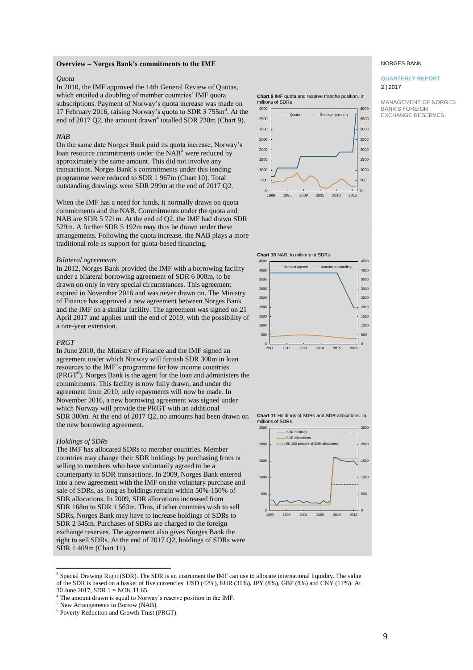#### **Overview – Norges Bank's commitments to the IMF**

#### *Quota*

In 2010, the IMF approved the 14th General Review of Quotas, which entailed a doubling of member countries' IMF quota subscriptions. Payment of Norway's quota increase was made on 17 February 2016, raising Norway's quota to SDR 3 755m<sup>3</sup>. At the end of 2017 Q2, the amount drawn<sup>4</sup> totalled SDR 230m (Chart 9).

#### *NAB*

On the same date Norges Bank paid its quota increase, Norway's loan resource commitments under the NAB<sup>5</sup> were reduced by approximately the same amount. This did not involve any transactions. Norges Bank's commitments under this lending programme were reduced to SDR 1 967m (Chart 10). Total outstanding drawings were SDR 299m at the end of 2017 Q2.

When the IMF has a need for funds, it normally draws on quota commitments and the NAB. Commitments under the quota and NAB are SDR 5 721m. At the end of Q2, the IMF had drawn SDR 529m. A further SDR 5 192m may thus be drawn under these arrangements. Following the quota increase, the NAB plays a more traditional role as support for quota-based financing.

#### *Bilateral agreements*

In 2012, Norges Bank provided the IMF with a borrowing facility under a bilateral borrowing agreement of SDR 6 000m, to be drawn on only in very special circumstances. This agreement expired in November 2016 and was never drawn on. The Ministry of Finance has approved a new agreement between Norges Bank and the IMF on a similar facility. The agreement was signed on 21 April 2017 and applies until the end of 2019, with the possibility of a one-year extension.

#### *PRGT*

In June 2010, the Ministry of Finance and the IMF signed an agreement under which Norway will furnish SDR 300m in loan resources to the IMF's programme for low income countries (PRGT<sup>6</sup>). Norges Bank is the agent for the loan and administers the commitments. This facility is now fully drawn, and under the agreement from 2010, only repayments will now be made. In November 2016, a new borrowing agreement was signed under which Norway will provide the PRGT with an additional SDR 300m. At the end of 2017 Q2, no amounts had been drawn on the new borrowing agreement.

#### *Holdings of SDRs*

The IMF has allocated SDRs to member countries. Member countries may change their SDR holdings by purchasing from or selling to members who have voluntarily agreed to be a counterparty in SDR transactions. In 2009, Norges Bank entered into a new agreement with the IMF on the voluntary purchase and sale of SDRs, as long as holdings remain within 50%-150% of SDR allocations. In 2009, SDR allocations increased from SDR 168m to SDR 1 563m. Thus, if other countries wish to sell SDRs, Norges Bank may have to increase holdings of SDRs to SDR 2 345m. Purchases of SDRs are charged to the foreign exchange reserves. The agreement also gives Norges Bank the right to sell SDRs. At the end of 2017 Q2, holdings of SDRs were SDR 1 409m (Chart 11).

**Chart 9** IMF quota and reserve tranche position. In millions of SDRs



#### NORGES BANK

#### **QUARTERLY REPORT** 2 | 2017

MANAGEMENT OF NORGES BANK'S FOREIGN EXCHANGE RESERVES





**Chart 11** Holdings of SDRs and SDR allocations. In millions of SDRs



<sup>&</sup>lt;sup>3</sup><br>Special Drawing Right (SDR). The SDR is an instrument the IMF can use to allocate international liquidity. The value of the SDR is based on a basket of five currencies: USD (42%), EUR (31%), JPY (8%), GBP (8%) and CNY (11%). At 30 June 2017, SDR 1 = NOK 11.65.

<sup>4</sup> The amount drawn is equal to Norway's reserve position in the IMF.

<sup>5</sup> New Arrangements to Borrow (NAB).

<sup>6</sup> Poverty Reduction and Growth Trust (PRGT).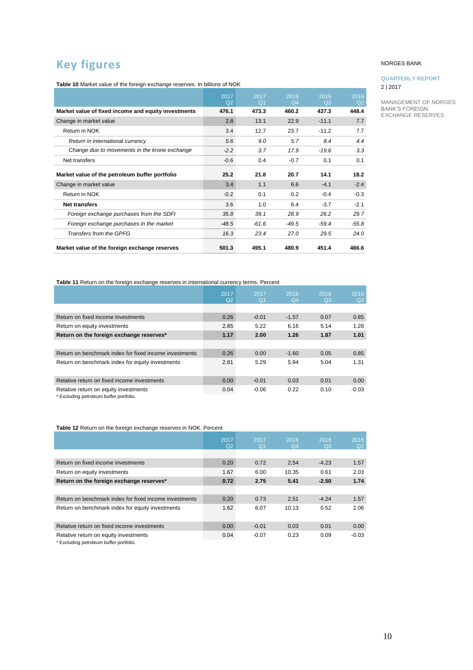## <span id="page-9-0"></span>**Key figures**

**Table 10** Market value of the foreign exchange reserves. In billions of NOK

|                                                     | 2017<br>Q <sub>2</sub> | 2017<br>Q <sub>1</sub> | 2016<br>Q <sub>4</sub> | 2016<br>Q3 | 2016<br>Q2 |
|-----------------------------------------------------|------------------------|------------------------|------------------------|------------|------------|
| Market value of fixed income and equity investments | 476.1                  | 473.3                  | 460.2                  | 437.3      | 448.4      |
| Change in market value                              | 2.8                    | 13.1                   | 22.9                   | $-11.1$    | 7.7        |
| Return in NOK                                       | 3.4                    | 12.7                   | 23.7                   | $-11.2$    | 7.7        |
| Return in international currency                    | 5.6                    | 9.0                    | 5.7                    | 8.4        | 4.4        |
| Change due to movements in the krone exchange       | $-2.2$                 | 3.7                    | 17.9                   | $-19.6$    | 3.3        |
| Net transfers                                       | $-0.6$                 | 0.4                    | $-0.7$                 | 0.1        | 0.1        |
| Market value of the petroleum buffer portfolio      | 25.2                   | 21.8                   | 20.7                   | 14.1       | 18.2       |
| Change in market value                              | 3.4                    | 1.1                    | 6.6                    | $-4.1$     | $-2.4$     |
| Return in NOK                                       | $-0.2$                 | 0.1                    | 0.2                    | $-0.4$     | $-0.3$     |
| <b>Net transfers</b>                                | 3.6                    | 1.0                    | 6.4                    | $-3.7$     | $-2.1$     |
| Foreign exchange purchases from the SDFI            | 35.8                   | 39.1                   | 28.9                   | 26.2       | 29.7       |
| Foreign exchange purchases in the market            | $-48.5$                | $-61.6$                | $-49.5$                | $-59.4$    | $-55.8$    |
| Transfers from the GPFG                             | 16.3                   | 23.4                   | 27.0                   | 29.5       | 24.0       |
| Market value of the foreign exchange reserves       | 501.3                  | 495.1                  | 480.9                  | 451.4      | 466.6      |

#### NORGES BANK

#### **QUARTERLY REPORT** 2 | 2017

MANAGEMENT OF NORGES BANK'S FOREIGN EXCHANGE RESERVES

**Table 11** Return on the foreign exchange reserves in international currency terms. Percent

|                                                        | 2017<br>Q <sub>2</sub> | 2017<br>Q <sub>1</sub> | 2016<br>Q <sub>4</sub> | 2016<br>Q <sub>3</sub> | 2016<br>Q2 |
|--------------------------------------------------------|------------------------|------------------------|------------------------|------------------------|------------|
|                                                        |                        |                        |                        |                        |            |
| Return on fixed income investments                     | 0.26                   | $-0.01$                | $-1.57$                | 0.07                   | 0.85       |
| Return on equity investments                           | 2.85                   | 5.22                   | 6.16                   | 5.14                   | 1.28       |
| Return on the foreign exchange reserves*               | 1.17                   | 2.00                   | 1.26                   | 1.87                   | 1.01       |
|                                                        |                        |                        |                        |                        |            |
| Return on benchmark index for fixed income investments | 0.26                   | 0.00                   | $-1.60$                | 0.05                   | 0.85       |
| Return on benchmark index for equity investments       | 2.81                   | 5.29                   | 5.94                   | 5.04                   | 1.31       |
|                                                        |                        |                        |                        |                        |            |
| Relative return on fixed income investments            | 0.00                   | $-0.01$                | 0.03                   | 0.01                   | 0.00       |
| Relative return on equity investments                  | 0.04                   | $-0.06$                | 0.22                   | 0.10                   | $-0.03$    |
| * Excluding petroleum buffer portfolio.                |                        |                        |                        |                        |            |

**Table 12** Return on the foreign exchange reserves in NOK. Percent

|                                                        | 2017<br>Q <sub>2</sub> | 2017<br>Q <sub>1</sub> | 2016<br>Q <sub>4</sub> | 2016<br>Q <sub>3</sub> | 2016<br>Q2 |
|--------------------------------------------------------|------------------------|------------------------|------------------------|------------------------|------------|
|                                                        |                        |                        |                        |                        |            |
| Return on fixed income investments                     | 0.20                   | 0.72                   | 2.54                   | $-4.23$                | 1.57       |
| Return on equity investments                           | 1.67                   | 6.00                   | 10.35                  | 0.61                   | 2.03       |
| Return on the foreign exchange reserves*               | 0.72                   | 2.75                   | 5.41                   | $-2.50$                | 1.74       |
|                                                        |                        |                        |                        |                        |            |
| Return on benchmark index for fixed income investments | 0.20                   | 0.73                   | 2.51                   | $-4.24$                | 1.57       |
| Return on benchmark index for equity investments       | 1.62                   | 6.07                   | 10.13                  | 0.52                   | 2.06       |
|                                                        |                        |                        |                        |                        |            |
| Relative return on fixed income investments            | 0.00                   | $-0.01$                | 0.03                   | 0.01                   | 0.00       |
| Relative return on equity investments                  | 0.04                   | $-0.07$                | 0.23                   | 0.09                   | $-0.03$    |
| * Excluding petroleum buffer portfolio.                |                        |                        |                        |                        |            |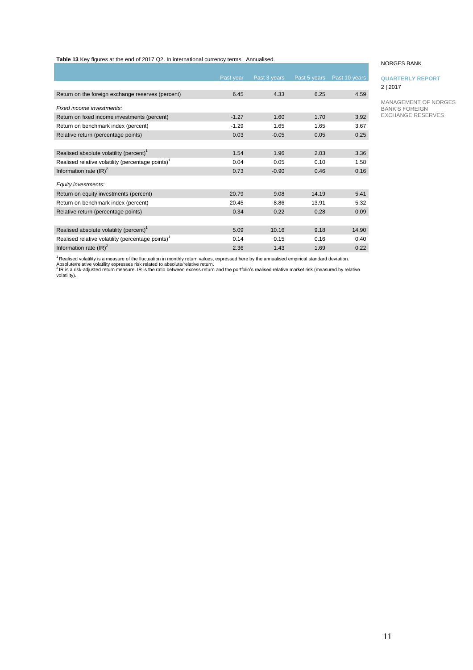**Table 13** Key figures at the end of 2017 Q2. In international currency terms. Annualised.

|                                                               | Past year | Past 3 years | Past 5 years | Past 10 years |
|---------------------------------------------------------------|-----------|--------------|--------------|---------------|
|                                                               |           |              |              |               |
| Return on the foreign exchange reserves (percent)             | 6.45      | 4.33         | 6.25         | 4.59          |
| Fixed income investments:                                     |           |              |              |               |
| Return on fixed income investments (percent)                  | $-1.27$   | 1.60         | 1.70         | 3.92          |
| Return on benchmark index (percent)                           | $-1.29$   | 1.65         | 1.65         | 3.67          |
| Relative return (percentage points)                           | 0.03      | $-0.05$      | 0.05         | 0.25          |
|                                                               |           |              |              |               |
| Realised absolute volatility (percent) <sup>1</sup>           | 1.54      | 1.96         | 2.03         | 3.36          |
| Realised relative volatility (percentage points) <sup>1</sup> | 0.04      | 0.05         | 0.10         | 1.58          |
| Information rate $(\text{IR})^2$                              | 0.73      | $-0.90$      | 0.46         | 0.16          |
| Equity investments:                                           |           |              |              |               |
| Return on equity investments (percent)                        | 20.79     | 9.08         | 14.19        | 5.41          |
| Return on benchmark index (percent)                           | 20.45     | 8.86         | 13.91        | 5.32          |
| Relative return (percentage points)                           | 0.34      | 0.22         | 0.28         | 0.09          |
|                                                               |           |              |              |               |
| Realised absolute volatility (percent) <sup>1</sup>           | 5.09      | 10.16        | 9.18         | 14.90         |
| Realised relative volatility (percentage points) <sup>1</sup> | 0.14      | 0.15         | 0.16         | 0.40          |
| Information rate $(\text{IR})^2$                              | 2.36      | 1.43         | 1.69         | 0.22          |

#### NORGES BANK

#### **QUARTERLY REPORT** 2 | 2017

MANAGEMENT OF NORGES BANK'S FOREIGN EXCHANGE RESERVES

<sup>1</sup> Realised volatility is a measure of the fluctuation in monthly return values, expressed here by the annualised empirical standard deviation.<br>Absolute/relative volatility expresses risk related to absolute/relative retu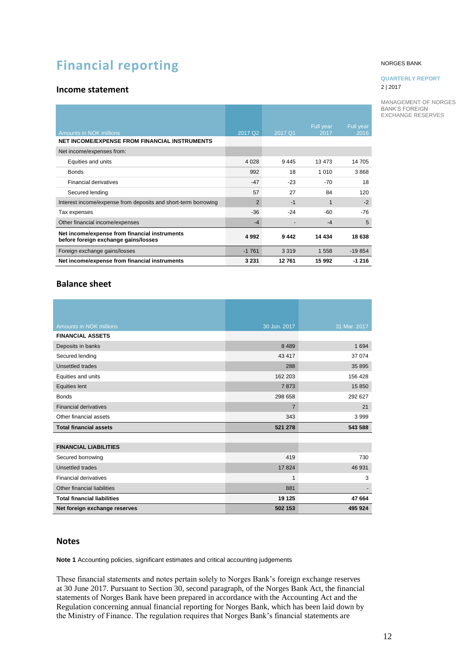## <span id="page-11-0"></span>**Financial reporting**

### <span id="page-11-1"></span>**Income statement**

| <b>Amounts in NOK millions</b>                                                        | 2017 Q2 | 2017 Q1 | Full year<br>2017 | Full year<br>2016 |
|---------------------------------------------------------------------------------------|---------|---------|-------------------|-------------------|
| NET INCOME/EXPENSE FROM FINANCIAL INSTRUMENTS                                         |         |         |                   |                   |
| Net income/expenses from:                                                             |         |         |                   |                   |
| Equities and units                                                                    | 4 0 28  | 9445    | 13 473            | 14 705            |
| <b>Bonds</b>                                                                          | 992     | 18      | 1 0 1 0           | 3868              |
| <b>Financial derivatives</b>                                                          | $-47$   | $-23$   | $-70$             | 18                |
| Secured lending                                                                       | 57      | 27      | 84                | 120               |
| Interest income/expense from deposits and short-term borrowing                        | 2       | $-1$    | 1                 | $-2$              |
| Tax expenses                                                                          | $-36$   | $-24$   | $-60$             | $-76$             |
| Other financial income/expenses                                                       | $-4$    |         | $-4$              | 5                 |
| Net income/expense from financial instruments<br>before foreign exchange gains/losses | 4992    | 9442    | 14 4 34           | 18 638            |
| Foreign exchange gains/losses                                                         | $-1761$ | 3 3 1 9 | 1 5 5 8           | $-19854$          |
| Net income/expense from financial instruments                                         | 3 2 3 1 | 12761   | 15 992            | $-1216$           |

### <span id="page-11-2"></span>**Balance sheet**

| Amounts in NOK millions            | 30 Jun. 2017   | 31 Mar. 2017 |
|------------------------------------|----------------|--------------|
| <b>FINANCIAL ASSETS</b>            |                |              |
| Deposits in banks                  | 8 4 8 9        | 1694         |
| Secured lending                    | 43 417         | 37 074       |
| Unsettled trades                   | 288            | 35 895       |
| Equities and units                 | 162 203        | 156 428      |
| <b>Equities lent</b>               | 7873           | 15 850       |
| <b>Bonds</b>                       | 298 658        | 292 627      |
| <b>Financial derivatives</b>       | $\overline{7}$ | 21           |
| Other financial assets             | 343            | 3999         |
| <b>Total financial assets</b>      | 521 278        | 543 588      |
|                                    |                |              |
| <b>FINANCIAL LIABILITIES</b>       |                |              |
| Secured borrowing                  | 419            | 730          |
| Unsettled trades                   | 17824          | 46 931       |
| <b>Financial derivatives</b>       | 1              | 3            |
| Other financial liabilities        | 881            |              |
| <b>Total financial liabilities</b> | 19 125         | 47 664       |
| Net foreign exchange reserves      | 502 153        | 495 924      |

### <span id="page-11-3"></span>**Notes**

**Note 1** Accounting policies, significant estimates and critical accounting judgements

These financial statements and notes pertain solely to Norges Bank's foreign exchange reserves at 30 June 2017. Pursuant to Section 30, second paragraph, of the Norges Bank Act, the financial statements of Norges Bank have been prepared in accordance with the Accounting Act and the Regulation concerning annual financial reporting for Norges Bank, which has been laid down by the Ministry of Finance. The regulation requires that Norges Bank's financial statements are

#### NORGES BANK

#### **QUARTERLY REPORT** 2 | 2017